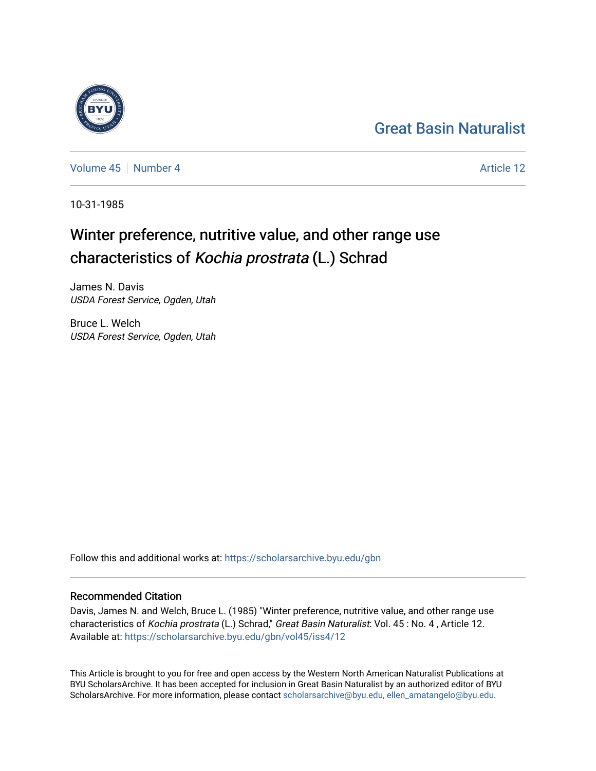## [Great Basin Naturalist](https://scholarsarchive.byu.edu/gbn)

[Volume 45](https://scholarsarchive.byu.edu/gbn/vol45) | [Number 4](https://scholarsarchive.byu.edu/gbn/vol45/iss4) Article 12

10-31-1985

# Winter preference, nutritive value, and other range use characteristics of Kochia prostrata (L.) Schrad

James N. Davis USDA Forest Service, Ogden, Utah

Bruce L. Welch USDA Forest Service, Ogden, Utah

Follow this and additional works at: [https://scholarsarchive.byu.edu/gbn](https://scholarsarchive.byu.edu/gbn?utm_source=scholarsarchive.byu.edu%2Fgbn%2Fvol45%2Fiss4%2F12&utm_medium=PDF&utm_campaign=PDFCoverPages) 

### Recommended Citation

Davis, James N. and Welch, Bruce L. (1985) "Winter preference, nutritive value, and other range use characteristics of Kochia prostrata (L.) Schrad," Great Basin Naturalist: Vol. 45 : No. 4, Article 12. Available at: [https://scholarsarchive.byu.edu/gbn/vol45/iss4/12](https://scholarsarchive.byu.edu/gbn/vol45/iss4/12?utm_source=scholarsarchive.byu.edu%2Fgbn%2Fvol45%2Fiss4%2F12&utm_medium=PDF&utm_campaign=PDFCoverPages) 

This Article is brought to you for free and open access by the Western North American Naturalist Publications at BYU ScholarsArchive. It has been accepted for inclusion in Great Basin Naturalist by an authorized editor of BYU ScholarsArchive. For more information, please contact [scholarsarchive@byu.edu, ellen\\_amatangelo@byu.edu.](mailto:scholarsarchive@byu.edu,%20ellen_amatangelo@byu.edu)

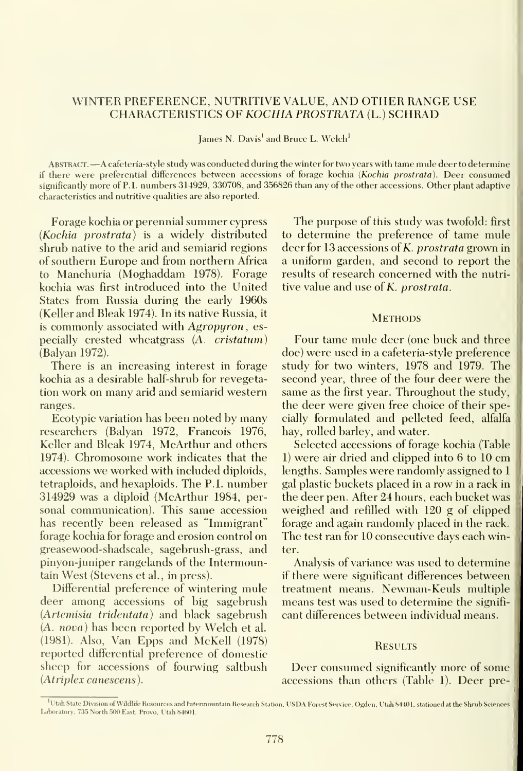#### WINTER PREFERENCE, NUTRITIVE VALUE, AND OTHER RANGE USE CHARACTERISTICS OF KOCHIA PROSTRATA (L.) SCHRAD

James N. Davis' and Bruce L. Welch'

Abstract. —<sup>A</sup> cafeteria-style study was conducted during the winter for two years with tame mule deer to determine if there were preferential differences between accessions of forage kochia (Kochia prostrata). Deer consumed significantly more of P.I. numbers 314929, 330708, and 356826 than any of the other accessions. Other plant adaptive characteristics and nutritive qualities are also reported.

Forage kochia or perennial summer cypress (Kochia prostrata) is a widely distributed shrub native to the arid and semiarid regions of southern Europe and from northern Africa to Manchuria (Moghaddam 1978). Forage kochia was first introduced into the United States from Russia during the early 1960s (Keller and Bleak 1974). In its native Russia, itis commonly associated with Agropuron, especially crested wheatgrass (A. cristatum) (Balyan 1972).

There is an increasing interest in forage kochia as a desirable half-shrub for revegetation work on many arid and semiarid western ranges.

Ecotypic variation has been noted by many researchers (Balyan 1972, Francois 1976, Keller and Bleak 1974, McArthur and others 1974). Chromosome work indicates that the accessions we worked with included diploids, tetraploids, and hexaploids. The P.I. number 314929 was a diploid (McArthur 1984, personal communication). This same accession has recently been released as "Immigrant" forage kochia for forage and erosion control on greasewood-shadscale, sagebrush-grass, and pinyon-juniper rangelands of the Intermountain West (Stevens et al., in press).

Differential preference of wintering mule deer among accessions of big sagebrush {Artemisia tridentata) and black sagebrush (A. nova) has been reported bv Welch et al. (1981). Also, Van Epps and McKell (1978) reported differential preference of domestic sheep for accessions of fourwing saltbush (Atriplex canescens).

The purpose of this study was twofold: first to determine the preference of tame mule deer for 13 accessions of K. prostrata grown in a uniform garden, and second to report the results of research concerned with the nutritive value and use of K. prostrata.

#### **METHODS**

Four tame mule deer (one buck and three doe) were used in a cafeteria-style preference study for two winters, 1978 and 1979. The second year, three of the four deer were the same as the first year. Throughout the study, the deer were given free choice of their specially formulated and pelleted feed, alfalfa hay, rolled barley, and water.

Selected accessions of forage kochia (Table 1) were air dried and clipped into 6 to 10 cm lengths. Samples were randomly assigned to <sup>1</sup> gal plastic buckets placed in a row in a rack in the deer pen. After 24 hours, each bucket was weighed and refilled with 120 g of clipped forage and again randomly placed in the rack. The test ran for 10 consecutive days each winter.

Analysis of variance was used to determine if there were significant differences between treatment means. Newman-Keuls multiple means test was used to determine the signifi cant differences between indixidual means.

#### **RESULTS**

Deer consumed significantly more of some accessions than others (Table 1). Deer pre-

Utah State Division of Wildlife Resources and Intermountain Research Station, USDA Forest Service, Ogden, Utah 84401, stationed at the Shrub Science Laboratory, 735 North 500 East. Provo. Utah 8460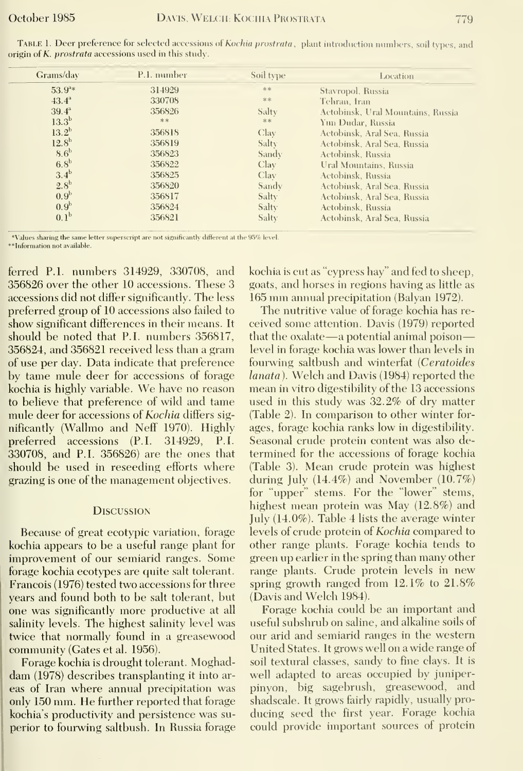| Grams/day         | P.I. number | Soil type | Location                          |
|-------------------|-------------|-----------|-----------------------------------|
| $53.9^{3*}$       | 314929      | **        | Stavropol, Russia                 |
| $43.4^{\circ}$    | 330708      | **        | Tehran, Iran                      |
| $39.4^{\circ}$    | 356826      | Salty     | Actobinsk, Ural Mountains, Russia |
| 13.3 <sup>b</sup> | **          | **        | Yun Dudar, Russia                 |
| $13.2^{b}$        | 356818      | Clay      | Actobinsk, Aral Sea, Russia       |
| 12.8 <sup>b</sup> | 356819      | Salty     | Actobinsk, Aral Sea, Russia       |
| 8.6 <sup>b</sup>  | 356823      | Sandy     | Actobinsk. Russia                 |
| 6.8 <sup>b</sup>  | 356822      | Clay      | Ural Mountains, Russia            |
| $3.4^{\rm b}$     | 356825      | Clay      | Actobinsk, Russia                 |
| 2.8 <sup>b</sup>  | 356820      | Sandy     | Actobinsk, Aral Sea, Russia       |
| 0.9 <sup>b</sup>  | 356817      | Salty     | Actobinsk, Aral Sea, Russia       |
| 0.9 <sup>b</sup>  | 356824      | Salty     | Actobinsk, Russia                 |
| 0.1 <sup>b</sup>  | 356821      | Salty     | Actobinsk, Aral Sea, Russia       |

TABLE 1. Deer preference for selected accessions of Kochia prostrata, plant introduction numbers, soil types, and origin of K. prostrata accessions used in this study.

\*Values sharing the same letter superscript are not significantly different at the 95% level

\*\*Information not available

ferred P.1. numbers 314929, 330708, and 356826 over the other 10 accessions. These 3 accessions did not differ significantly. The less preferred group of 10 accessions also failed to show significant differences in their means. It should be noted that P.I. numbers 356817. 356824, and 356821 received less than a gram of use per day. Data indicate that preference by tame mule deer for accessions of forage kochia is highly variable. We have no reason to believe that preference of wild and tame mule deer for accessions of Kochia differs significantly (Wallmo and Neff 1970). Highly preferred accessions (P.I. 314929, P.I. 330708, and P.I. 356826) are the ones that should be used in reseeding efforts where grazing is one of the management objectives.

#### **DISCUSSION**

Because of great ecotypic variation, forage kochia appears to be a useful range plant for improvement of our semiarid ranges. Some forage kochia ecotypes are quite salt tolerant. Francois (1976) tested two accessions for three years and found both to be salt tolerant, but one was significantly more productive at all salinity levels. The highest salinity level was twice that normally found in a greasewood community (Gates et al. 1956).

Forage kochia is drought tolerant. Moghaddam (1978) describes transplanting it into areas of Iran where annual precipitation was only 150 mm. He further reported that forage kochia's productivity and persistence was superior to fourwing saltbush. In Russia forage kochia is cut as "cypress hay" and fed to sheep, goats, and horses in regions having as little as 165 mm annual precipitation (Balvan 1972).

The nutritive value of forage kochia has received some attention. Davis (1979) reported that the oxalate—a potential animal poison level in forage kochia was lower than levels in fourwing saltbush and winterfat (Ceratoides lanata). Welch and Davis (1984) reported the mean in vitro digestibility of the 13 accessions used in this study was 32.2% of dry matter (Table 2). In comparison to other winter forages, forage kochia ranks low in digestibility. Seasonal crude protein content was also determined for the accessions of forage kochia (Table 3). Mean crude protein was highest during July (14.4%) and November (10.7%) for "upper" stems. For the "lower" stems, highest mean protein was May (12.8%) and July  $(14.0\%)$ . Table 4 lists the average winter levels of crude protein of Kochia compared to other range plants. Forage kochia tends to green up earlier in the spring than many other range plants. Crude protein levels in new spring growth ranged from  $12.1\%$  to  $21.8\%$ (Davis and Welch 1984).

Forage kochia could be an important and useful subshrub on saline, and alkaline soils of our arid and semiarid ranges in the western United States. It grows well on a wide range of soil textural classes, sandy to fine clays. It is well adapted to areas occupied by juniperpinyon, big sagebrush, greasewood, and shadscale. It grows fairly rapidly, usually producing seed the first year. Forage kochia could provide important sources of protein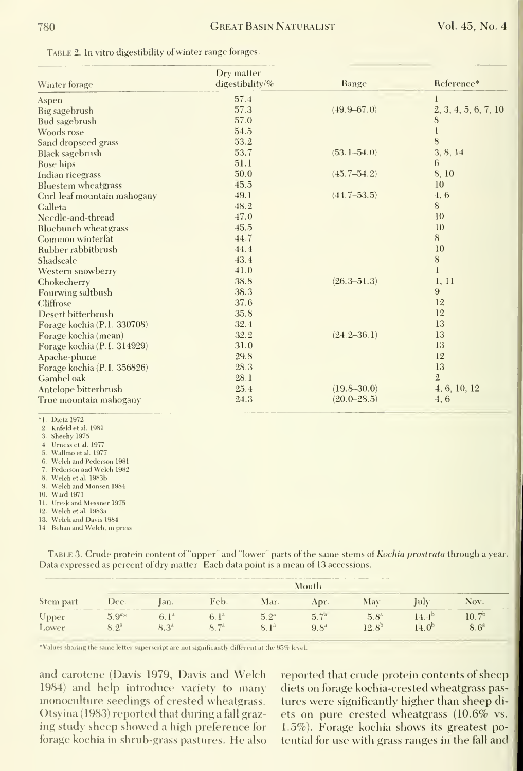| TABLE 2. In vitro digestibility of winter range forages. |  |  |  |
|----------------------------------------------------------|--|--|--|
|----------------------------------------------------------|--|--|--|

| Winter forage               | Drv matter<br>digestibility/% | Range           | Reference*           |
|-----------------------------|-------------------------------|-----------------|----------------------|
| Aspen                       | 57.4                          |                 |                      |
| Big sagebrush               | 57.3                          | $(49.9 - 67.0)$ | 2, 3, 4, 5, 6, 7, 10 |
| Bud sagebrush               | 57.0                          |                 | 8                    |
| Woods rose                  | 54.5                          |                 | l                    |
| Sand dropseed grass         | 53.2                          |                 | 8                    |
| <b>Black sagebrush</b>      | 53.7                          | $(53.1 - 54.0)$ | 3, 8, 14             |
| Rose hips                   | 51.1                          |                 | 6                    |
| Indian ricegrass            | 50.0                          | $(45.7 - 54.2)$ | 8,10                 |
| <b>Bluestem</b> wheatgrass  | 45.5                          |                 | 10                   |
| Curl-leaf mountain mahogany | 49.1                          | $(44.7 - 53.5)$ | 4, 6                 |
| Galleta                     | 48.2                          |                 | 8                    |
| Needle-and-thread           | 47.0                          |                 | 10                   |
| <b>Bluebunch</b> wheatgrass | 45.5                          |                 | 10                   |
| Common winterfat            | 44.7                          |                 | 8                    |
| Rubber rabbitbrush          | 44.4                          |                 | 10                   |
| Shadscale                   | 43.4                          |                 | $\bf 8$              |
| Western snowberry           | 41.0                          |                 | $\mathbf{I}$         |
| Chokecherry                 | 38.8                          | $(26.3 - 51.3)$ | 1, 11                |
| Fourwing saltbush           | 38.3                          |                 | 9                    |
| Cliffrose                   | 37.6                          |                 | 12                   |
| Desert bitterbrush          | 35.8                          |                 | 12                   |
| Forage kochia (P.1. 330708) | 32.4                          |                 | 13                   |
| Forage kochia (mean)        | 32.2                          | $(24.2 - 36.1)$ | 13                   |
| Forage kochia (P.I. 314929) | 31.0                          |                 | 13                   |
| Apache-plume                | 29.8                          |                 | 12                   |
| Forage kochia (P.I. 356826) | 28.3                          |                 | 13                   |
| Gambel oak                  | 28.1                          |                 | $\overline{2}$       |
| Antelope bitterbrush        | 25.4                          | $(19.8 - 30.0)$ | 4, 6, 10, 12         |
| True mountain mahogany      | 24.3                          | $(20.0 - 28.5)$ | 4, 6                 |

\*I. Dietz 1972

2. Kufeld et al. 1981

3. Sheehy 1975

4 Urness et al. 1977

- 5. Wallmo et al. 1977
- 6. Welch and Pederson 1981
- 7. Pederson and Welch 1982
- 8. Welch et al. 1983b 9. Welch and Monsen 1984
- 10. Ward 1971

11. Uresk and Messner 1975

12. Welch et al. 1983a

13. Welch and Davis 1984

14 Behan and Welch, in press

TABLE 3. Crude protein content of "upper" and "lower" parts of the same stems of Kochia prostrata through a year. Data expressed as percent of dry matter. Each data point is a mean of 13 accessions.

| Stem part | Month      |           |                  |                  |                  |                |                |                   |
|-----------|------------|-----------|------------------|------------------|------------------|----------------|----------------|-------------------|
|           | Dec.       | lan.      | Feb.             | Mar.             | Apr.             | Mav            | July           | Nov.              |
| Upper     | $5.9^{a*}$ | $6.1^*$   | 6.1 <sup>a</sup> | $5.2^{4}$        | 5.7 <sup>a</sup> | $5.8^{3}$      | $14.4^{\circ}$ | 10.7 <sup>b</sup> |
| Lower     | $8.2^a$    | $8.3^{4}$ | $8.7^{a}$        | 8.1 <sup>3</sup> | $9.8^{\degree}$  | $12.8^{\rm b}$ | $14.0^{b}$     | 8.6 <sup>a</sup>  |

\*Values sharing the same letter superscript are not significantly different at the 95% level

and carotene (Davis 1979, Davis and Welch 1984) and help introduce variety to many monoculture seedings of crested wheatgrass. Otsyina (1983) reported that during a fall grazing study sheep showed a high preference for forage kochia in shrub-grass pastures. He also reported that crude protein contents of sheep diets on forage kochia-crested wheatgrass pastures were significantly higher than sheep diets on pure crested wheatgrass (10.6% vs. 1.5%). Forage kochia shows its greatest potential for use with grass ranges in the fall and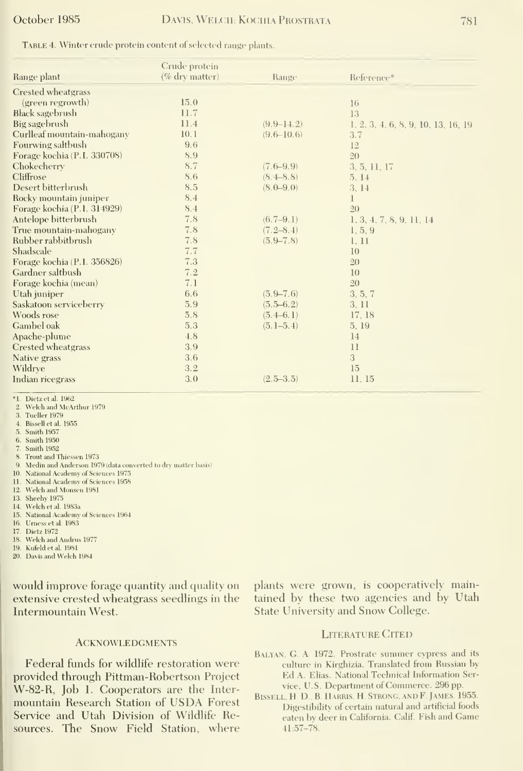#### October 1985

TABLE 4. Winter erude protein content of selected range plants.

|                             | Crude protein     |                 |                                     |
|-----------------------------|-------------------|-----------------|-------------------------------------|
| Range plant                 | $(\%$ dry matter) | Range           | Reference*                          |
| Crested wheatgrass          |                   |                 |                                     |
| (green regrowth)            | 15.0              |                 | 16                                  |
| <b>Black sagebrush</b>      | 11.7              |                 | 13                                  |
| Big sagebrush               | 11.4              | $(9.9 - 14.2)$  | 1, 2, 3, 4, 6, 8, 9, 10, 13, 16, 19 |
| Curlleaf mountain-mahogany  | 10.1              | $(9.6 - 10.6)$  | 3.7                                 |
| Fourwing saltbush           | 9.6               |                 | 12                                  |
| Forage kochia (P.I. 330708) | 8.9               |                 | 20                                  |
| Chokecherry                 | 8.7               | $(7.6 - 9.9)$   | 3, 5, 11, 17                        |
| Cliffrose                   | 8.6               | (8, 4–8, 8)     | 5.14                                |
| Desert bitterbrush          | 8.5               | $(8, 0 - 9, 0)$ | 3, 14                               |
| Rocky mountain juniper      | 8.4               |                 |                                     |
| Forage kochia (P.1. 314929) | 8.4               |                 | 20                                  |
| Antelope bitterbrush        | 7.8               | $(6.7 - 9.1)$   | 1, 3, 4, 7, 8, 9, 11, 14            |
| True mountain-mahogany      | 7.8               | $(7.2 - 8.4)$   | 1, 5, 9                             |
| Rubber rabbitbrush          | 7.8               | $(5.9 - 7.8)$   | 1, 11                               |
| Shadscale                   | 7.7               |                 | 10                                  |
| Forage kochia (P.1. 356826) | 7.3               |                 | 20                                  |
| Gardner saltbush            | 7.2               |                 | 10                                  |
| Forage kochia (mean)        | 7.1               |                 | 20                                  |
| Utah juniper                | 6.6               | $(5.9 - 7.6)$   | 3, 5, 7                             |
| Saskatoon serviceberry      | 5.9               | $(5.5 - 6.2)$   | 3, 11                               |
| Woods rose                  | 5.8               | $(5.4 - 6.1)$   | 17, 18                              |
| Gambel oak                  | 5.3               | $(5.1 - 5.4)$   | 5, 19                               |
| Apache-plume                | 4.8               |                 | 14                                  |
| Crested wheatgrass          | 3.9               |                 | 11                                  |
| Native grass                | 3.6               |                 | 3                                   |
| Wildrye                     | 3.2               |                 | 15                                  |
| Indian ricegrass            | 3.0               | $(2.5 - 3.5)$   | 11, 15                              |
|                             |                   |                 |                                     |

\*1. Dietz et al. 1962

2. Welch and McArthur 1979

- 3. Tueller 1979
- 4. Bissell et al. 1955
- 5. Smith 1957
- 6. Smith 1950
- 7. Smith 1952
- 8. Trout and Thiessen 1973
- 9. Medin and Anderson 1979 (data converted to dry matter basis)
- 10. National Academy of Sciences 1975
- 11. National Academy of Sciences 1958
- 12. Welch and Monsen 1981
- 13. Sheehy 1975
- 14. Welch et al. 1983a
- 15. National Academy of Sciences 1964 16. Urness et al. 1983
- 
- 17. Dietz 1972
- 18. Welch and Andrus 1977
- 19. Kufeld et al. 1981
- 20. Davis and Welch 1984

would improve forage quantity and quality on extensive crested wheatgrass seedlings in the Intermountain West.

#### **ACKNOWLEDGMENTS**

Federal funds for wildlife restoration were provided through Pittman-Robertson Project W-82-R, Job 1. Cooperators are the Intermountain Research Station of USDA Forest Service and Utah Division of Wildlife Resources. The Snow Field Station, where plants were grown, is cooperatively maintained by these two agencies and by Utah State University and Snow College.

#### **LITERATURE CITED**

- BALYAN, G. A. 1972. Prostrate summer cypress and its culture in Kirghizia. Translated from Russian by Ed A. Elias. National Technical Information Service, U.S. Department of Commerce. 296 pp.
- BISSELL, H. D., B. HARRIS, H. STRONG, AND F. JAMES. 1955. Digestibility of certain natural and artificial foods eaten by deer in California. Calif. Fish and Game  $41:57 - 78$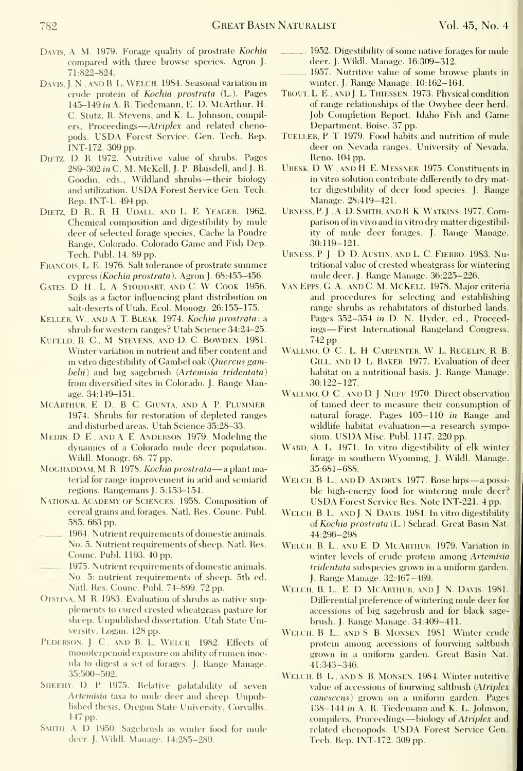- Davis, A. M. 1979. Forage quality of prostrate Kochia compared with three browse species. Agron J. 71:822-824.
- Davis,]. N. AND B L. Welch. 1984. Seasonal variation in crude protein of Kochia prostrata (L.). Pages 145-149 in A. R. Tiedemann, E. D. McArthur, H. C. Stutz, R. Stevens, and K. L. Johnson, compilers, Proceedings—A*triplex* and related chenopods. USDA Forest Service. Gen. Tech. Rep. INT-172. 309 pp.
- DiETZ, D. R. 1972. Nutritive value of shrubs. Pages 289-302 in C. M. McKell, J. P. Blaisdell, and J. R. Goodin, eds., Wildland shrubs—their biology and utilization. USDA Forest Service Gen. Tech. Rep. INT-1. 494 pp.
- DIETZ, D. R., R. H. UDALL, AND L. E. YEAGER. 1962. Chemical composition and digestibility by mule deer of selected forage species, Cache la Poudre Range, Colorado. Colorado Game and Fish Dep. Tech. Publ. 14.89 pp.
- Francois, L. E. 1976. Salt tolerance of prostrate summer cypress (Kochia prostrata). Agron J. 68:455-456.
- Gates, D. H., L. <sup>A</sup> Stoddart, and C W Cook 1956. Soils as a factor influencing plant distribution on salt-deserts of Utah. Ecol. Monogr. 26:155-175.
- Keller, W., and A T.Bleak. 1974. Kochia prostrata: a shrub for western ranges? Utah Science 34:24—25.
- KUFELD, R. C., M. STEVENS, AND D. C. BOWDEN. 1981. Winter variation in nutrient and fiber content and in vitro digestibility of Gambel oak (Quercus gambelii) and big sagebrush (Artemisia tridentata) from diversified sites in Colorado. J. Range Manage. 34:149-151.
- MCARTHUR, E. D., B. C. GIUNTA, AND A. P. PLUMMER 1974. Shrubs for restoration of depleted ranges and disturbed areas. Utah Science 35:28-33.
- Medin, D E , AND A E Anderson. 1979. Modeling the dynamics of a Colorado mule deer population. Wildl. Monogr. 68. 77 pp.
- MOGHADDAM, M. R. 1978. Kochia prostrata-a plant material for range improvement in arid and semiarid regions. Rangemans J. 5:153-154.
- National Academy OF Sciences 1958. Composition of cereal grains and forages. Natl. Res. Counc. Publ. 585. 663 pp.
- 1964. Nutrient requirements of domestic animals. No. 5. Nutrient requirements of sheep. Natl. Res. Counc. Publ. 1193. 40 pp.
- 1975. Nutrient requirements of domestic animals. No. 5: nutrient requirements of sheep. 5th ed. Natl. Res. Counc. Publ. 74-899. 72 pp.
- OTSYINA, M. R. 1983. Evaluation of shrubs as native supplements to cured crested wheatgrass pasture for sheep. Unpublished dissertation. Utah State University, Logan. 128 pp.
- PEDERSON. J. C. AND B. L. WELCH 1982. Effects of monoterpenoid exposure on ability of rumen inoc ula to digest <sup>a</sup> set of forages. J. Range Manage. 35:500-502.
- SHEEHY. D P. 1975. Relative palatability of seven Artemisia taxa to mule deer and sheep. Unpublished thesis, Oregon State Universitv, Corvallis. 147 pp.
- SMITH. A. D 1950. Sagebrush as winter food for mule deer. J. Wildl. Manage. 14:285-289.
- 1952. Digestibility of some native forages for mule deer. J. Wildl. Manage. 16:309-312.
- 1957. Nutritive value of some browse plants in winter. J. Range Manage. 10:162-164.
- TROUT, L. E., AND J. L. THIESSEN. 1973. Physical condition of range relationships of the Owyhee deer herd. Job Completion Report. Idaho Fish and Game Department, Boise. 37 pp.
- Tueller, P T 1979, Food habits and nutrition of mule deer on Nevada ranges. University of Nevada, Reno. 104 pp.
- Uresk. D W . AND H <sup>E</sup> Messner 1975. Constituents in in vitro solution contribute differently to dry matter digestibility of deer food species. J. Range Manage. 28:419-421.
- Urness, P. J., A. D. Smith, and R. K. Watkins. 1977. Comparison of in vivo and in vitro dry matter digestibilitv of mule deer forages. J. Range Manage. 30:119-121.
- Urness, P <sup>J</sup> , D D. Austin, and L C. Fierro. 1983, Nutritional value of crested wheatgrass for wintering mule deer. J. Range Manage. 36:225-226.
- Van Epps, G. A., and C. M. McKell 1978, Major criteria and procedures for selecting and establishing range shrubs as rehabitators of disturbed lands. Pages 352-354 in D. N. Hyder, ed., Proceedings—First International Rangeland Congress. 742 pp.
- WALLMO, O C., L. H. CARPENTER, W. L. REGELIN, R. B. Gill, and D. L. Baker. 1977, Evaluation of deer habitat on a nutritional basis. J. Range Manage. 30:122-127.
- WALLMO, O. C., AND D. J. NEFF. 1970. Direct observation of tamed deer to measure their consumption of natural forage. Pages 105-110 in Range and wildlife habitat evaluation—a research symposium, USDA Misc. Publ. 1147. <sup>220</sup> pp.
- WARD, A. L. 1971. In vitro digestibility of elk winter forage in southern Wvoming, J. Wildl. Manage. 35:681-688.
- WELCH, B L., AND D. ANDRUS. 1977. Rose hips-a possible high-energy food for wintering mule deer? USDA Forest Service Res. Note INT-221. <sup>4</sup> pp.
- WELCH, B. L., AND J. N. DAVIS. 1984. In vitro digestibility of Kochia prostrata (L.) Schrad. Great Basin Nat. 44:296-298,
- WELCH, B. L., AND E. D. MCARTHUR. 1979. Variation in winter levels of crude protein among Artemisia tridentata subspecies grown in a uniform garden. J. Range Manage. 32:467-469.
- WELCH, B. L., E. D. MCARTHUR, AND J. N. DAVIS. 1981. Differential preference of wintering mule deer for accessions of big sagebrush and for black sage brush, J, Range Manage. 34:409-411.
- WELCH, B L., AND S. B. MONSEN. 1981. Winter crude protein among accessions of fourwing saltbush grown in a uniform garden. Great Basin Nat. 41:343-346.
- WELCH, B. L., AND S. B. MONSEN, 1984. Winter nutritive value of accessions of fourwing saltbush (Atriplex canescens) grown on a uniform garden. Pages 138-144 in A. R. Tiedemann and K. L. Johnson, compilers. Proceedings-biology of Atriplex and related chenopods. USDA Forest Service Gen. Tech, Rep, INT-172, 309 pp.